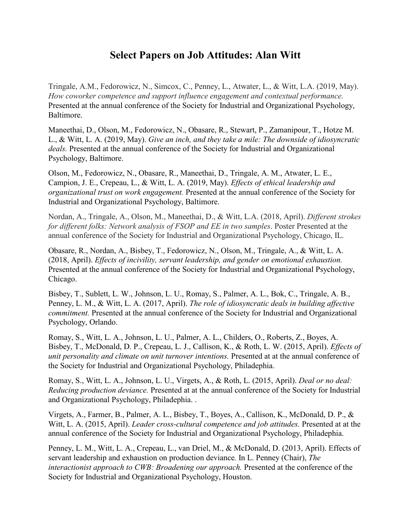## **Select Papers on Job Attitudes: Alan Witt**

Tringale, A.M., Fedorowicz, N., Simcox, C., Penney, L., Atwater, L., & Witt, L.A. (2019, May). *How coworker competence and support influence engagement and contextual performance.* Presented at the annual conference of the Society for Industrial and Organizational Psychology, Baltimore.

Maneethai, D., Olson, M., Fedorowicz, N., Obasare, R., Stewart, P., Zamanipour, T., Hotze M. L., & Witt, L. A. (2019, May). *Give an inch, and they take a mile: The downside of idiosyncratic deals.* Presented at the annual conference of the Society for Industrial and Organizational Psychology, Baltimore.

Olson, M., Fedorowicz, N., Obasare, R., Maneethai, D., Tringale, A. M., Atwater, L. E., Campion, J. E., Crepeau, L., & Witt, L. A. (2019, May). *Effects of ethical leadership and organizational trust on work engagement.* Presented at the annual conference of the Society for Industrial and Organizational Psychology, Baltimore.

Nordan, A., Tringale, A., Olson, M., Maneethai, D., & Witt, L.A. (2018, April). *Different strokes for different folks: Network analysis of FSOP and EE in two samples*. Poster Presented at the annual conference of the Society for Industrial and Organizational Psychology, Chicago, IL.

Obasare, R., Nordan, A., Bisbey, T., Fedorowicz, N., Olson, M., Tringale, A., & Witt, L. A. (2018, April). *Effects of incivility, servant leadership, and gender on emotional exhaustion.* Presented at the annual conference of the Society for Industrial and Organizational Psychology, Chicago.

Bisbey, T., Sublett, L. W., Johnson, L. U., Romay, S., Palmer, A. L., Bok, C., Tringale, A. B., Penney, L. M., & Witt, L. A. (2017, April). *The role of idiosyncratic deals in building affective commitment.* Presented at the annual conference of the Society for Industrial and Organizational Psychology, Orlando.

Romay, S., Witt, L. A., Johnson, L. U., Palmer, A. L., Childers, O., Roberts, Z., Boyes, A. Bisbey, T., McDonald, D. P., Crepeau, L. J., Callison, K., & Roth, L. W. (2015, April). *Effects of unit personality and climate on unit turnover intentions.* Presented at at the annual conference of the Society for Industrial and Organizational Psychology, Philadephia.

Romay, S., Witt, L. A., Johnson, L. U., Virgets, A., & Roth, L. (2015, April). *Deal or no deal: Reducing production deviance.* Presented at at the annual conference of the Society for Industrial and Organizational Psychology, Philadephia. .

Virgets, A., Farmer, B., Palmer, A. L., Bisbey, T., Boyes, A., Callison, K., McDonald, D. P., & Witt, L. A. (2015, April). *Leader cross-cultural competence and job attitudes.* Presented at at the annual conference of the Society for Industrial and Organizational Psychology, Philadephia.

Penney, L. M., Witt, L. A., Crepeau, L., van Driel, M., & McDonald, D. (2013, April). Effects of servant leadership and exhaustion on production deviance*.* In L. Penney (Chair), *The interactionist approach to CWB: Broadening our approach.* Presented at the conference of the Society for Industrial and Organizational Psychology, Houston.